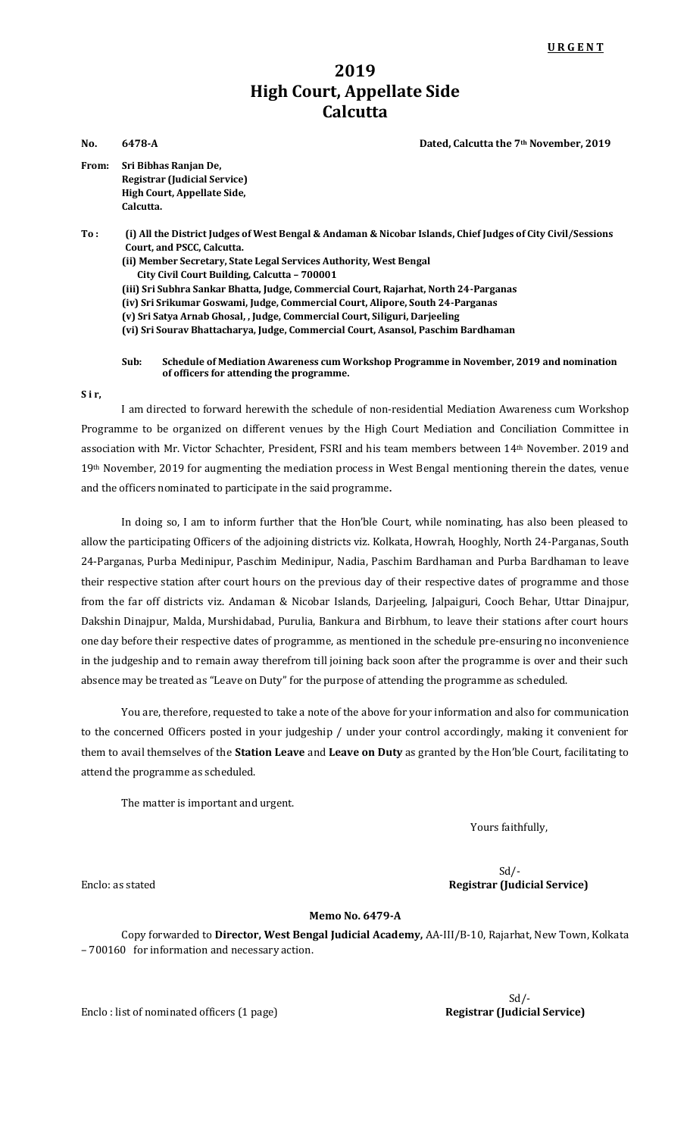## **2019 High Court, Appellate Side Calcutta**

**No. 6478-A Dated, Calcutta the 7th November, 2019**

**From: Sri Bibhas Ranjan De, Registrar (Judicial Service) High Court, Appellate Side, Calcutta.**

**To : (i) All the District Judges of West Bengal & Andaman & Nicobar Islands, Chief Judges of City Civil/Sessions Court, and PSCC, Calcutta. (ii) Member Secretary, State Legal Services Authority, West Bengal City Civil Court Building, Calcutta – 700001 (iii) Sri Subhra Sankar Bhatta, Judge, Commercial Court, Rajarhat, North 24-Parganas (iv) Sri Srikumar Goswami, Judge, Commercial Court, Alipore, South 24-Parganas (v) Sri Satya Arnab Ghosal, , Judge, Commercial Court, Siliguri, Darjeeling (vi) Sri Sourav Bhattacharya, Judge, Commercial Court, Asansol, Paschim Bardhaman**

**Sub: Schedule of Mediation Awareness cum Workshop Programme in November, 2019 and nomination of officers for attending the programme.**

**S i r,**

I am directed to forward herewith the schedule of non-residential Mediation Awareness cum Workshop Programme to be organized on different venues by the High Court Mediation and Conciliation Committee in association with Mr. Victor Schachter, President, FSRI and his team members between 14th November. 2019 and 19th November, 2019 for augmenting the mediation process in West Bengal mentioning therein the dates, venue and the officers nominated to participate in the said programme**.**

In doing so, I am to inform further that the Hon'ble Court, while nominating, has also been pleased to allow the participating Officers of the adjoining districts viz. Kolkata, Howrah, Hooghly, North 24-Parganas, South 24-Parganas, Purba Medinipur, Paschim Medinipur, Nadia, Paschim Bardhaman and Purba Bardhaman to leave their respective station after court hours on the previous day of their respective dates of programme and those from the far off districts viz. Andaman & Nicobar Islands, Darjeeling, Jalpaiguri, Cooch Behar, Uttar Dinajpur, Dakshin Dinajpur, Malda, Murshidabad, Purulia, Bankura and Birbhum, to leave their stations after court hours one day before their respective dates of programme, as mentioned in the schedule pre-ensuring no inconvenience in the judgeship and to remain away therefrom till joining back soon after the programme is over and their such absence may be treated as "Leave on Duty" for the purpose of attending the programme as scheduled.

You are, therefore, requested to take a note of the above for your information and also for communication to the concerned Officers posted in your judgeship / under your control accordingly, making it convenient for them to avail themselves of the **Station Leave** and **Leave on Duty** as granted by the Hon'ble Court, facilitating to attend the programme as scheduled.

The matter is important and urgent.

Yours faithfully,

## Sd/- Enclo: as stated **Registrar (Judicial Service)**

## **Memo No. 6479-A**

Copy forwarded to **Director, West Bengal Judicial Academy,** AA-III/B-10, Rajarhat, New Town, Kolkata – 700160 for information and necessary action.

Enclo : list of nominated officers (1 page) Registrar (Judicial Service)

Sd/-